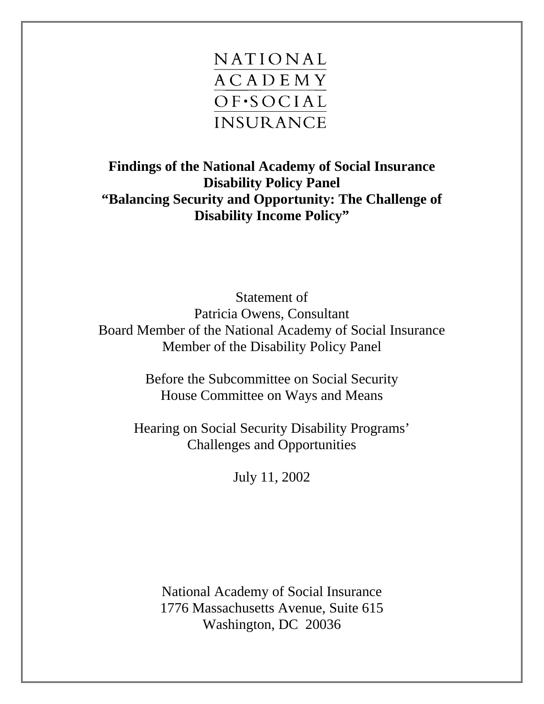

**Findings of the National Academy of Social Insurance Disability Policy Panel "Balancing Security and Opportunity: The Challenge of Disability Income Policy"** 

Statement of Patricia Owens, Consultant Board Member of the National Academy of Social Insurance Member of the Disability Policy Panel

> Before the Subcommittee on Social Security House Committee on Ways and Means

Hearing on Social Security Disability Programs' Challenges and Opportunities

July 11, 2002

National Academy of Social Insurance 1776 Massachusetts Avenue, Suite 615 Washington, DC 20036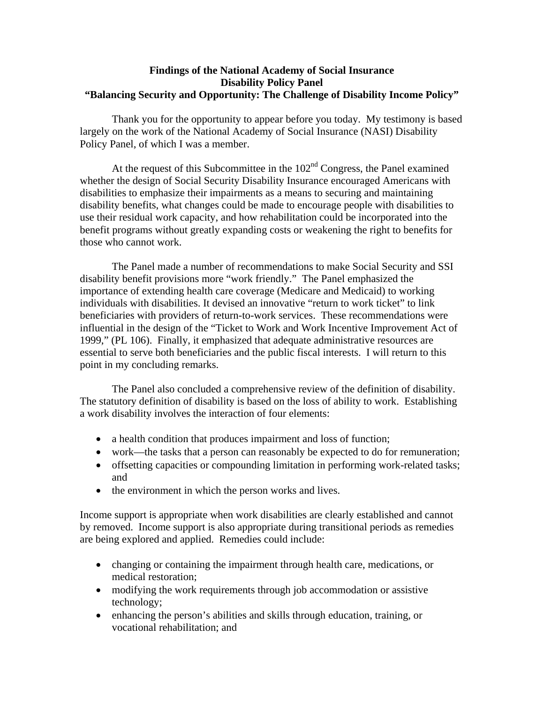## **Findings of the National Academy of Social Insurance Disability Policy Panel "Balancing Security and Opportunity: The Challenge of Disability Income Policy"**

Thank you for the opportunity to appear before you today. My testimony is based largely on the work of the National Academy of Social Insurance (NASI) Disability Policy Panel, of which I was a member.

At the request of this Subcommittee in the  $102<sup>nd</sup>$  Congress, the Panel examined whether the design of Social Security Disability Insurance encouraged Americans with disabilities to emphasize their impairments as a means to securing and maintaining disability benefits, what changes could be made to encourage people with disabilities to use their residual work capacity, and how rehabilitation could be incorporated into the benefit programs without greatly expanding costs or weakening the right to benefits for those who cannot work.

The Panel made a number of recommendations to make Social Security and SSI disability benefit provisions more "work friendly." The Panel emphasized the importance of extending health care coverage (Medicare and Medicaid) to working individuals with disabilities. It devised an innovative "return to work ticket" to link beneficiaries with providers of return-to-work services. These recommendations were influential in the design of the "Ticket to Work and Work Incentive Improvement Act of 1999," (PL 106). Finally, it emphasized that adequate administrative resources are essential to serve both beneficiaries and the public fiscal interests. I will return to this point in my concluding remarks.

The Panel also concluded a comprehensive review of the definition of disability. The statutory definition of disability is based on the loss of ability to work. Establishing a work disability involves the interaction of four elements:

- a health condition that produces impairment and loss of function;
- work—the tasks that a person can reasonably be expected to do for remuneration;
- offsetting capacities or compounding limitation in performing work-related tasks; and
- the environment in which the person works and lives.

Income support is appropriate when work disabilities are clearly established and cannot by removed. Income support is also appropriate during transitional periods as remedies are being explored and applied. Remedies could include:

- changing or containing the impairment through health care, medications, or medical restoration;
- modifying the work requirements through job accommodation or assistive technology;
- enhancing the person's abilities and skills through education, training, or vocational rehabilitation; and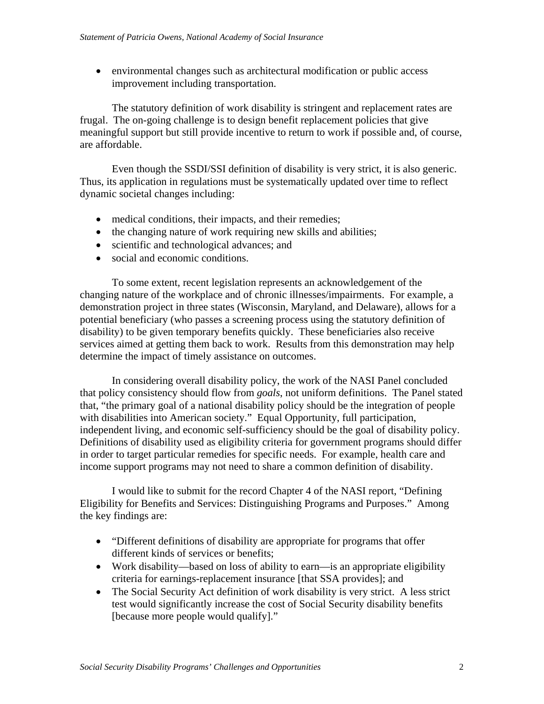• environmental changes such as architectural modification or public access improvement including transportation.

The statutory definition of work disability is stringent and replacement rates are frugal. The on-going challenge is to design benefit replacement policies that give meaningful support but still provide incentive to return to work if possible and, of course, are affordable.

Even though the SSDI/SSI definition of disability is very strict, it is also generic. Thus, its application in regulations must be systematically updated over time to reflect dynamic societal changes including:

- medical conditions, their impacts, and their remedies;
- the changing nature of work requiring new skills and abilities;
- scientific and technological advances; and
- social and economic conditions.

To some extent, recent legislation represents an acknowledgement of the changing nature of the workplace and of chronic illnesses/impairments. For example, a demonstration project in three states (Wisconsin, Maryland, and Delaware), allows for a potential beneficiary (who passes a screening process using the statutory definition of disability) to be given temporary benefits quickly. These beneficiaries also receive services aimed at getting them back to work. Results from this demonstration may help determine the impact of timely assistance on outcomes.

In considering overall disability policy, the work of the NASI Panel concluded that policy consistency should flow from *goals*, not uniform definitions. The Panel stated that, "the primary goal of a national disability policy should be the integration of people with disabilities into American society." Equal Opportunity, full participation, independent living, and economic self-sufficiency should be the goal of disability policy. Definitions of disability used as eligibility criteria for government programs should differ in order to target particular remedies for specific needs. For example, health care and income support programs may not need to share a common definition of disability.

I would like to submit for the record Chapter 4 of the NASI report, "Defining Eligibility for Benefits and Services: Distinguishing Programs and Purposes." Among the key findings are:

- "Different definitions of disability are appropriate for programs that offer different kinds of services or benefits;
- Work disability—based on loss of ability to earn—is an appropriate eligibility criteria for earnings-replacement insurance [that SSA provides]; and
- The Social Security Act definition of work disability is very strict. A less strict test would significantly increase the cost of Social Security disability benefits [because more people would qualify]."